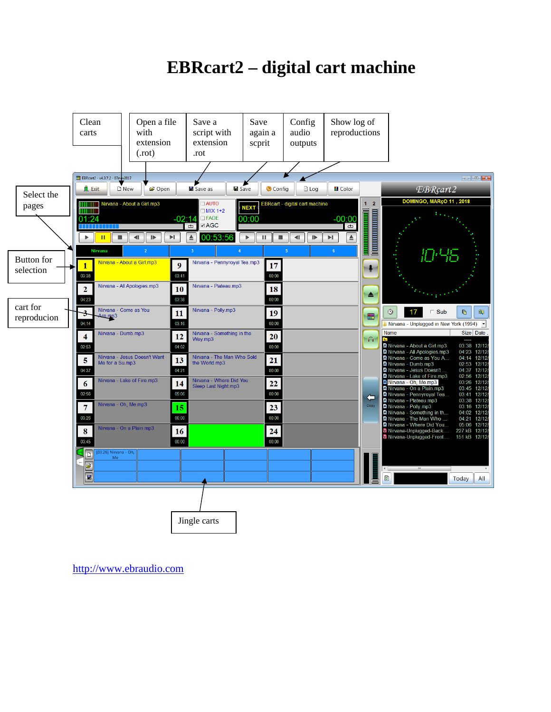# **EBRcart2 – digital cart machine**



[http://www.ebraudio.com](http://www.ebraudio.com/)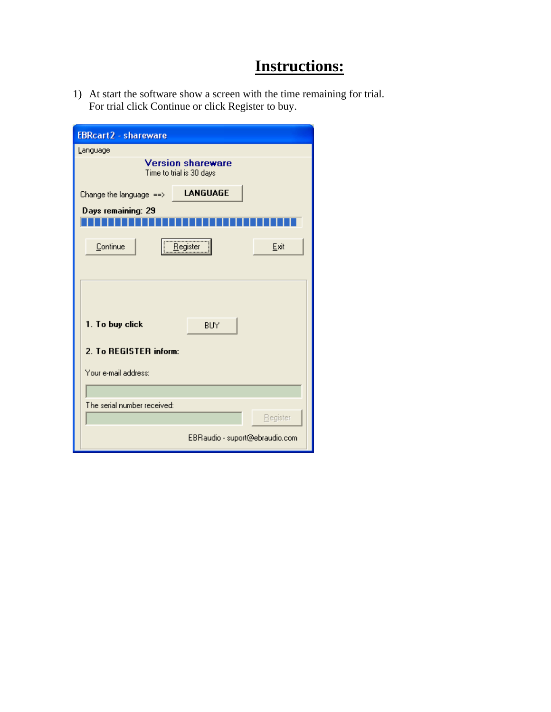# **Instructions:**

1) At start the software show a screen with the time remaining for trial. For trial click Continue or click Register to buy.

| <b>EBRcart2 - shareware</b>                          |                                |          |  |
|------------------------------------------------------|--------------------------------|----------|--|
| Language                                             |                                |          |  |
| <b>Version shareware</b><br>Time to trial is 30 days |                                |          |  |
| Change the language $\Rightarrow$                    | <b>LANGUAGE</b>                |          |  |
| Days remaining: 29                                   |                                |          |  |
|                                                      |                                |          |  |
| Continue                                             | <u>R</u> egister               | Exit     |  |
|                                                      |                                |          |  |
|                                                      |                                |          |  |
|                                                      |                                |          |  |
| 1. To buy click                                      | <b>BUY</b>                     |          |  |
|                                                      |                                |          |  |
| 2. To REGISTER inform:                               |                                |          |  |
| Your e-mail address:                                 |                                |          |  |
|                                                      |                                |          |  |
| The serial number received:                          |                                |          |  |
|                                                      |                                | Begister |  |
|                                                      | EBRaudio - suport@ebraudio.com |          |  |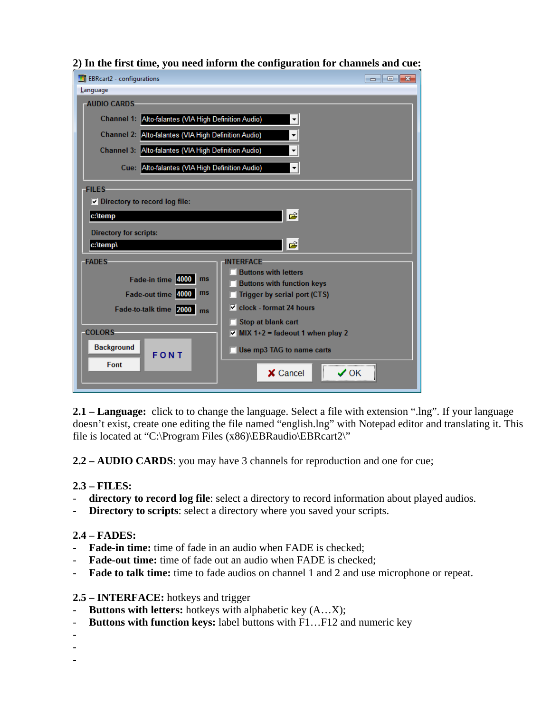| <b>EBRcart2</b> - configurations                     | $\begin{array}{c c c c c c} \hline \multicolumn{3}{c }{\mathbf{C}} & \multicolumn{3}{c }{\mathbf{C}} & \multicolumn{3}{c }{\mathbf{X}} \end{array}$ |  |  |  |
|------------------------------------------------------|-----------------------------------------------------------------------------------------------------------------------------------------------------|--|--|--|
| Language                                             |                                                                                                                                                     |  |  |  |
| <b>AUDIO CARDS</b>                                   |                                                                                                                                                     |  |  |  |
| Channel 1: Alto-falantes (VIA High Definition Audio) |                                                                                                                                                     |  |  |  |
| Channel 2: Alto-falantes (VIA High Definition Audio) |                                                                                                                                                     |  |  |  |
| Channel 3: Alto-falantes (VIA High Definition Audio) |                                                                                                                                                     |  |  |  |
| Cue: Alto-falantes (VIA High Definition Audio)       |                                                                                                                                                     |  |  |  |
| <b>FILES</b>                                         |                                                                                                                                                     |  |  |  |
| $\triangledown$ Directory to record log file:        |                                                                                                                                                     |  |  |  |
| Ê<br>c:\temp                                         |                                                                                                                                                     |  |  |  |
| <b>Directory for scripts:</b>                        |                                                                                                                                                     |  |  |  |
| c:\temp\                                             | Ê                                                                                                                                                   |  |  |  |
| <b>FADES</b>                                         | <b>INTERFACE</b>                                                                                                                                    |  |  |  |
| Fade-in time 4000 ms                                 | <b>Buttons with letters</b>                                                                                                                         |  |  |  |
| Fade-out time 4000 ms                                | <b>Buttons with function keys</b><br>Trigger by serial port (CTS)                                                                                   |  |  |  |
| Fade-to-talk time 2000 ms                            | $\triangledown$ clock - format 24 hours                                                                                                             |  |  |  |
|                                                      | Stop at blank cart                                                                                                                                  |  |  |  |
| <b>COLORS</b>                                        | $\triangledown$ MIX 1+2 = fadeout 1 when play 2                                                                                                     |  |  |  |
| <b>Background</b><br><b>FONT</b>                     | Use mp3 TAG to name carts                                                                                                                           |  |  |  |
| Font                                                 | X Cancel<br>⁄ 0K                                                                                                                                    |  |  |  |
|                                                      |                                                                                                                                                     |  |  |  |

#### **2) In the first time, you need inform the configuration for channels and cue:**

**2.1 – Language:** click to to change the language. Select a file with extension ".lng". If your language doesn't exist, create one editing the file named "english.lng" with Notepad editor and translating it. This file is located at "C:\Program Files (x86)\EBRaudio\EBRcart2\"

**2.2 – AUDIO CARDS**: you may have 3 channels for reproduction and one for cue;

#### **2.3 – FILES:**

- **directory to record log file**: select a directory to record information about played audios.
- **Directory to scripts**: select a directory where you saved your scripts.

#### **2.4 – FADES:**

- **Fade-in time:** time of fade in an audio when FADE is checked;
- Fade-out time: time of fade out an audio when FADE is checked;
- **Fade to talk time:** time to fade audios on channel 1 and 2 and use microphone or repeat.

#### **2.5 – INTERFACE:** hotkeys and trigger

- **Buttons with letters:** hotkeys with alphabetic key (A…X);
- **Buttons with function keys:** label buttons with F1…F12 and numeric key
- -

-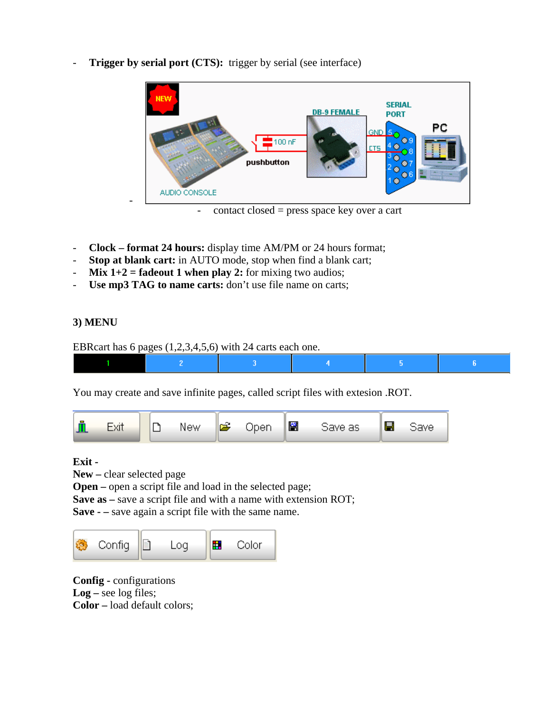- **SERIAL DB-9 FEMALE PORT** РC  $\frac{1}{2}$ 100 nF pushbutton AUDIO CONSOLE<br>- contact closed = press space key over a cart
- **Trigger by serial port (CTS):** trigger by serial (see interface)

- **Clock format 24 hours:** display time AM/PM or 24 hours format;
- **Stop at blank cart:** in AUTO mode, stop when find a blank cart;
- **Mix 1+2 = fadeout 1 when play 2:** for mixing two audios;
- **Use mp3 TAG to name carts:** don't use file name on carts;

## **3) MENU**

EBRcart has 6 pages (1,2,3,4,5,6) with 24 carts each one.



You may create and save infinite pages, called script files with extesion .ROT.



#### **Exit -**

**New –** clear selected page

**Open** – open a script file and load in the selected page;

**Save as –** save a script file and with a name with extension ROT;

**Save - –** save again a script file with the same name.



**Config -** configurations **Log –** see log files; **Color –** load default colors;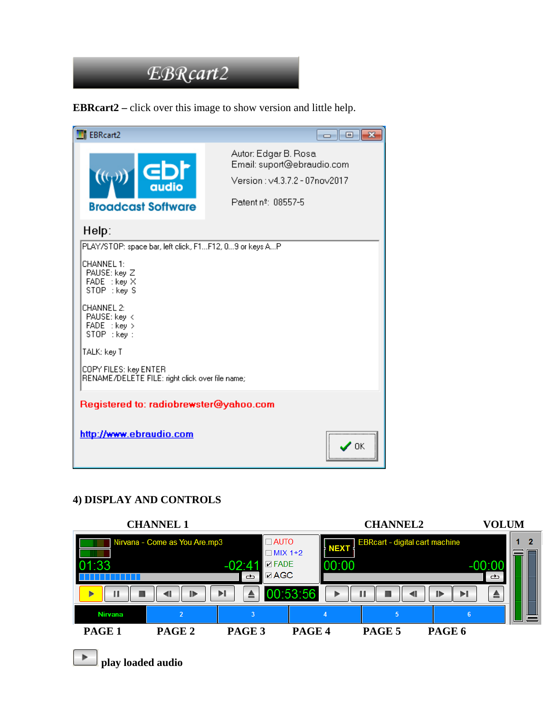

**EBRcart2 –** click over this image to show version and little help.

| <b>EBRcart2</b>                                                          | - 0 X                                                                                                      |
|--------------------------------------------------------------------------|------------------------------------------------------------------------------------------------------------|
| GDP<br>$((q_i))$<br>qudio<br><b>Broadcast Software</b>                   | Autor: Edgar B. Rosa.<br>Email: suport@ebraudio.com<br>Version: v4.3.7.2 - 07nov2017<br>Patent nº: 08557-5 |
| Help:                                                                    |                                                                                                            |
| PLAY/STOP: space bar, left click, F1F12, 09 or keys AP                   |                                                                                                            |
| CHANNEL 1:<br>PAUSE: key Z<br>FADE : key X<br>STOP : key S               |                                                                                                            |
| CHANNEL 2:<br>PAUSE: key <<br>FADE : key ><br>STOP : key :               |                                                                                                            |
| TALK: key T                                                              |                                                                                                            |
| COPY FILES: key ENTER<br>RENAME/DELETE FILE: right click over file name; |                                                                                                            |
| Registered to: radiobrewster@yahoo.com                                   |                                                                                                            |
| http://www.ebraudio.com                                                  | ΩK                                                                                                         |

#### **4) DISPLAY AND CONTROLS**



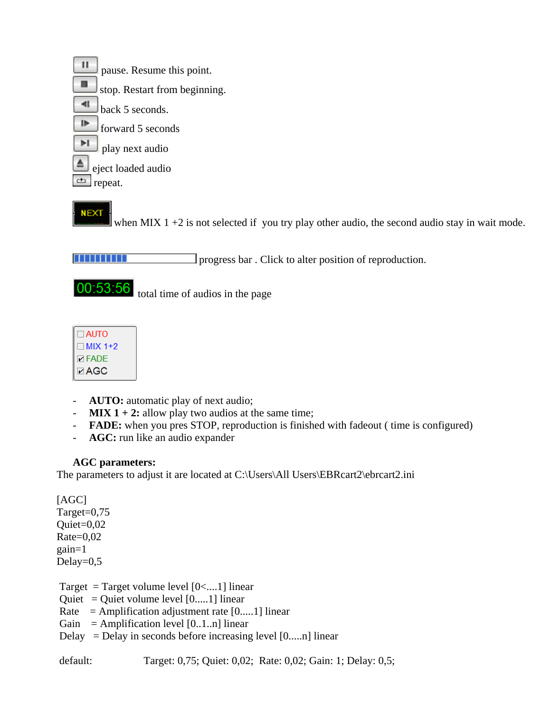$\mathbf{H}$ pause. Resume this point. ш stop. Restart from beginning.  $\blacksquare$ back 5 seconds. ⊮ forward 5 seconds ы play next audio eject loaded audio ₾ repeat.

**NEXT** 

when MIX  $1 + 2$  is not selected if you try play other audio, the second audio stay in wait mode.

progress bar . Click to alter position of reproduction.

00:53:56

total time of audios in the page



- AUTO: automatic play of next audio;
- **MIX 1 + 2:** allow play two audios at the same time;
- **FADE:** when you pres STOP, reproduction is finished with fadeout ( time is configured)
- **AGC:** run like an audio expander

## **AGC parameters:**

The parameters to adjust it are located at C:\Users\All Users\EBRcart2\ebrcart2.ini

[AGC] Target=0,75 Quiet=0,02  $Rate=0,02$ gain=1 Delay= $0,5$ 

Target = Target volume level  $[0<...1]$  linear Quiet = Quiet volume level  $[0...1]$  linear Rate = Amplification adjustment rate  $[0...1]$  linear Gain = Amplification level  $[0..1..n]$  linear Delay = Delay in seconds before increasing level  $[0...n]$  linear

default: Target: 0,75; Quiet: 0,02; Rate: 0,02; Gain: 1; Delay: 0,5;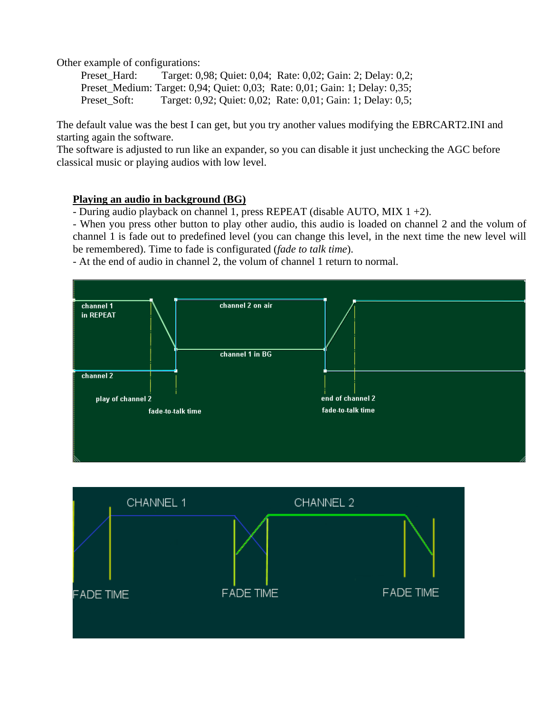Other example of configurations:

Preset Hard: Target: 0,98; Quiet: 0,04; Rate: 0,02; Gain: 2; Delay: 0,2; Preset\_Medium: Target: 0,94; Quiet: 0,03; Rate: 0,01; Gain: 1; Delay: 0,35; Preset Soft: Target: 0,92; Quiet: 0,02; Rate: 0,01; Gain: 1; Delay: 0,5;

The default value was the best I can get, but you try another values modifying the EBRCART2.INI and starting again the software.

The software is adjusted to run like an expander, so you can disable it just unchecking the AGC before classical music or playing audios with low level.

#### **Playing an audio in background (BG)**

- During audio playback on channel 1, press REPEAT (disable AUTO, MIX 1 +2).

- When you press other button to play other audio, this audio is loaded on channel 2 and the volum of channel 1 is fade out to predefined level (you can change this level, in the next time the new level will be remembered). Time to fade is configurated (*fade to talk time*).

- At the end of audio in channel 2, the volum of channel 1 return to normal.



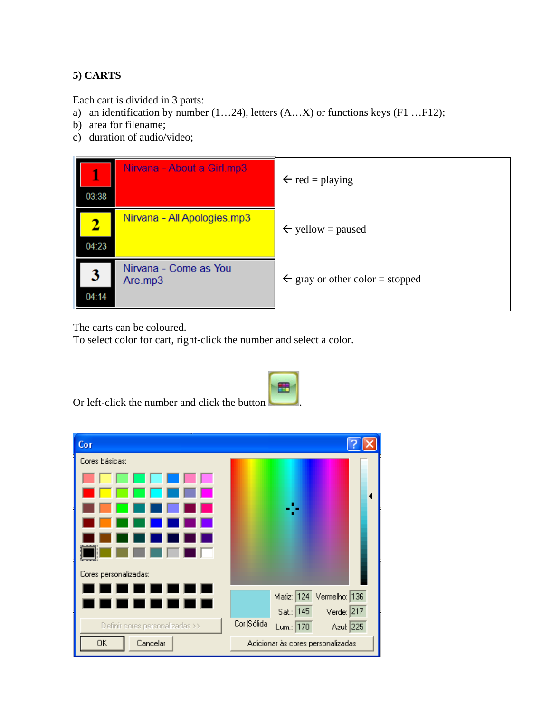# **5) CARTS**

Each cart is divided in 3 parts:

- a) an identification by number (1…24), letters (A…X) or functions keys (F1 …F12);
- b) area for filename;
- c) duration of audio/video;

| l<br>03:38 | Nirvana - About a Girl.mp3       | $\leftarrow$ red = playing                 |
|------------|----------------------------------|--------------------------------------------|
| 04:23      | Nirvana - All Apologies.mp3      | $\leftarrow$ yellow = paused               |
| 3<br>04:14 | Nirvana - Come as You<br>Are.mp3 | $\leftarrow$ gray or other color = stopped |

The carts can be coloured.

To select color for cart, right-click the number and select a color.

| Cor                             |                                       |  |  |
|---------------------------------|---------------------------------------|--|--|
| Cores básicas:                  |                                       |  |  |
|                                 |                                       |  |  |
|                                 |                                       |  |  |
|                                 |                                       |  |  |
|                                 |                                       |  |  |
|                                 |                                       |  |  |
|                                 |                                       |  |  |
| Cores personalizadas:           |                                       |  |  |
| п<br>- 1<br>▜▐▇<br>۹T           | Matiz: 124 Vermelho: 136              |  |  |
| <b>a</b> 1<br>٠<br>- 1          | Sat.: 145<br>Verde: $217$             |  |  |
| Definir cores personalizadas >> | Cor  Sólida<br>Azul: 225<br>Lum.: 170 |  |  |
| 0K<br>Cancelar                  | Adicionar às cores personalizadas     |  |  |

Or left-click the number and click the button .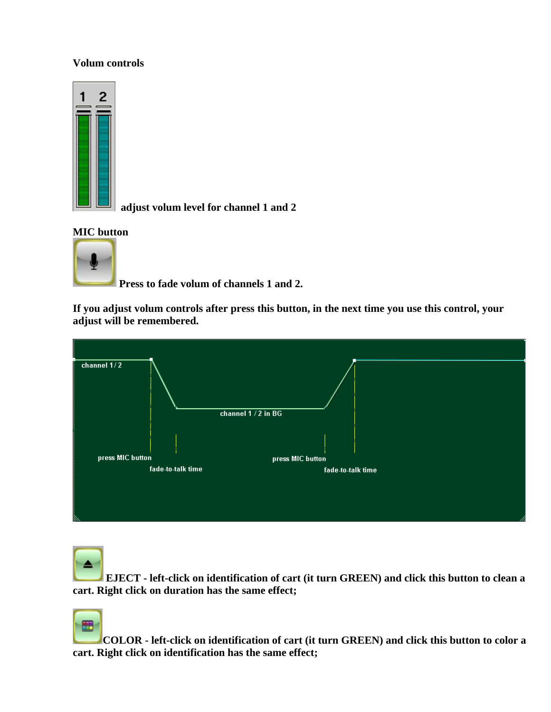#### **Volum controls**



 **adjust volum level for channel 1 and 2** 

#### **MIC button**



 **Press to fade volum of channels 1 and 2.** 

**If you adjust volum controls after press this button, in the next time you use this control, your adjust will be remembered.** 



 **EJECT - left-click on identification of cart (it turn GREEN) and click this button to clean a cart. Right click on duration has the same effect;** 



**COLOR - left-click on identification of cart (it turn GREEN) and click this button to color a cart. Right click on identification has the same effect;**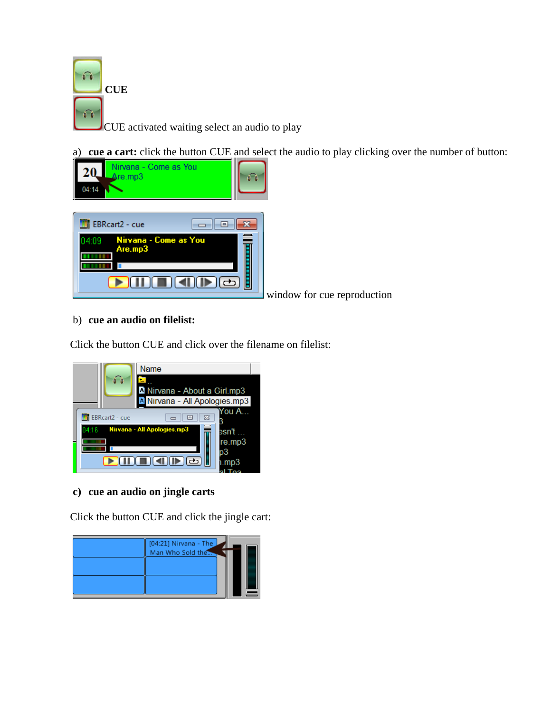

a) **cue a cart:** click the button CUE and select the audio to play clicking over the number of button:



window for cue reproduction

#### b) **cue an audio on filelist:**

Click the button CUE and click over the filename on filelist:



#### **c) cue an audio on jingle carts**

Click the button CUE and click the jingle cart:

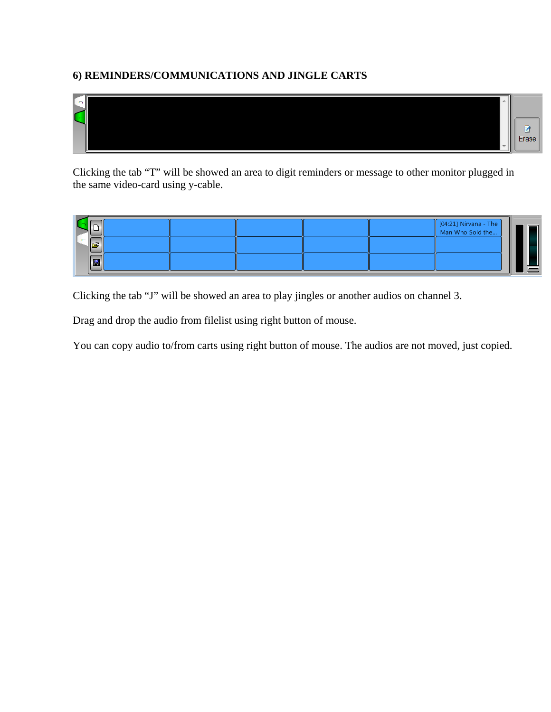## **6) REMINDERS/COMMUNICATIONS AND JINGLE CARTS**



Clicking the tab "T" will be showed an area to digit reminders or message to other monitor plugged in the same video-card using y-cable.

| . . |      |  |  | $[04:21]$ Nirvana - The<br>Man Who Sold the |     |
|-----|------|--|--|---------------------------------------------|-----|
|     | EH I |  |  |                                             | $-$ |

Clicking the tab "J" will be showed an area to play jingles or another audios on channel 3.

Drag and drop the audio from filelist using right button of mouse.

You can copy audio to/from carts using right button of mouse. The audios are not moved, just copied.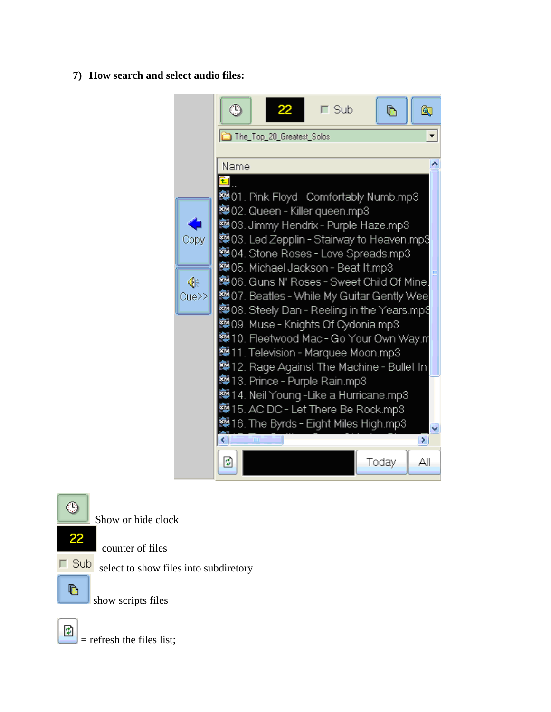#### **7) How search and select audio files:**



⊕

Show or hide clock

22

counter of files



show scripts files



 $=$  refresh the files list;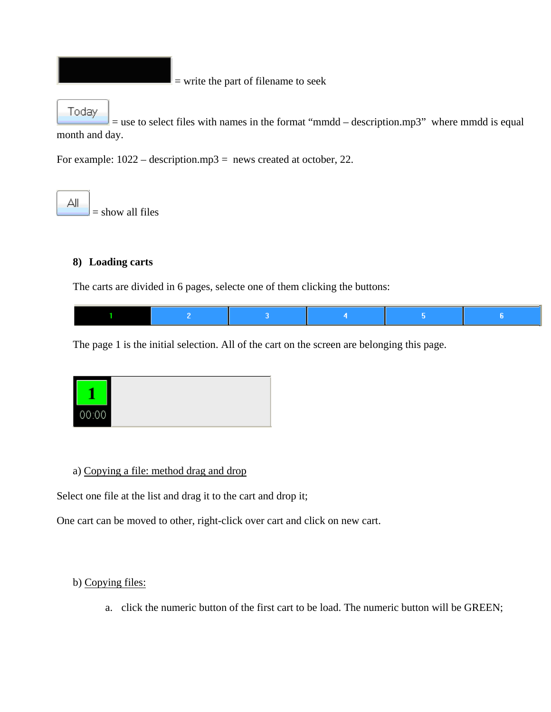= write the part of filename to seek

#### Today

 $=$  use to select files with names in the format "mmdd – description.mp3" where mmdd is equal month and day.

For example:  $1022 - descriptionmp3 = news created at october, 22$ .

ΑIΙ = show all files

#### **8) Loading carts**

The carts are divided in 6 pages, selecte one of them clicking the buttons:

The page 1 is the initial selection. All of the cart on the screen are belonging this page.



#### a) Copying a file: method drag and drop

Select one file at the list and drag it to the cart and drop it;

One cart can be moved to other, right-click over cart and click on new cart.

#### b) Copying files:

a. click the numeric button of the first cart to be load. The numeric button will be GREEN;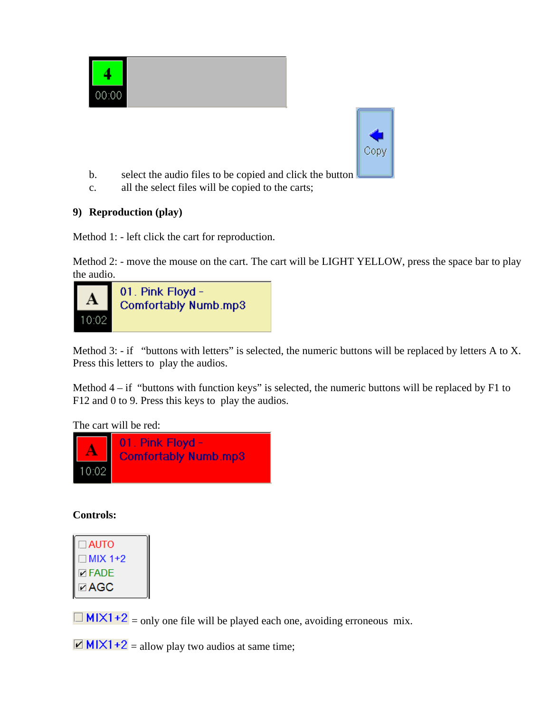



- b. select the audio files to be copied and click the button
- c. all the select files will be copied to the carts;

#### **9) Reproduction (play)**

Method 1: - left click the cart for reproduction.

Method 2: - move the mouse on the cart. The cart will be LIGHT YELLOW, press the space bar to play the audio.



Method 3: - if "buttons with letters" is selected, the numeric buttons will be replaced by letters A to X. Press this letters to play the audios.

Method  $4 - if$  "buttons with function keys" is selected, the numeric buttons will be replaced by F1 to F12 and 0 to 9. Press this keys to play the audios.

The cart will be red:



**Controls:** 

| <b>DAUTO<br/>DMIX 1+2<br/>DEAGC<br/>DAGC</b> |  |
|----------------------------------------------|--|

 $\Box$  MIX1+2 = only one file will be played each one, avoiding erroneous mix.

 $\boxed{2}$  MIX1+2 = allow play two audios at same time;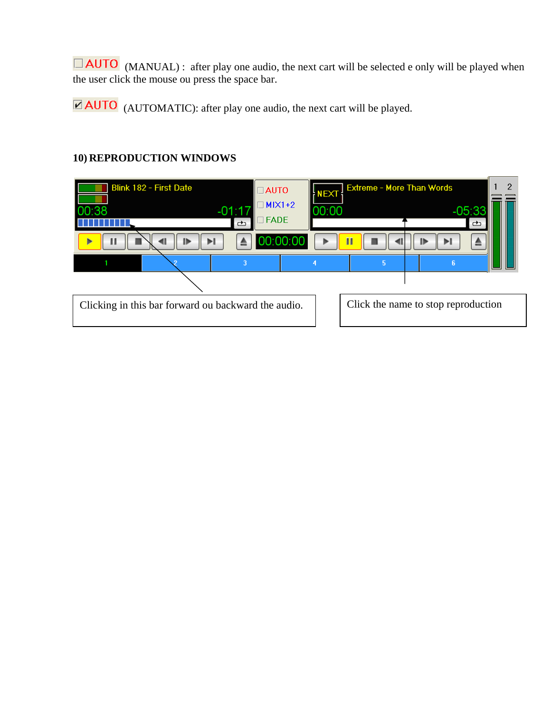(MANUAL) : after play one audio, the next cart will be selected e only will be played when the user click the mouse ou press the space bar.

 $\overline{\text{AUTO}}$  (AUTOMATIC): after play one audio, the next cart will be played.

# **10) REPRODUCTION WINDOWS**

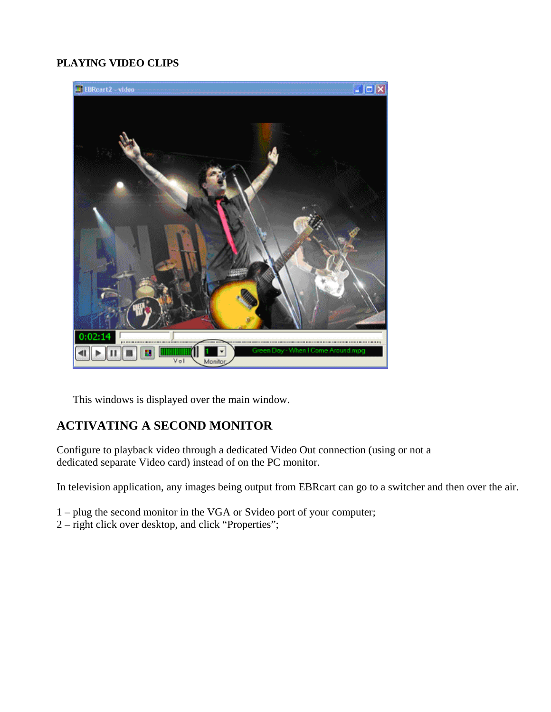#### **PLAYING VIDEO CLIPS**



This windows is displayed over the main window.

# **ACTIVATING A SECOND MONITOR**

Configure to playback video through a dedicated Video Out connection (using or not a dedicated separate Video card) instead of on the PC monitor.

In television application, any images being output from EBRcart can go to a switcher and then over the air.

- 1 plug the second monitor in the VGA or Svideo port of your computer;
- 2 right click over desktop, and click "Properties";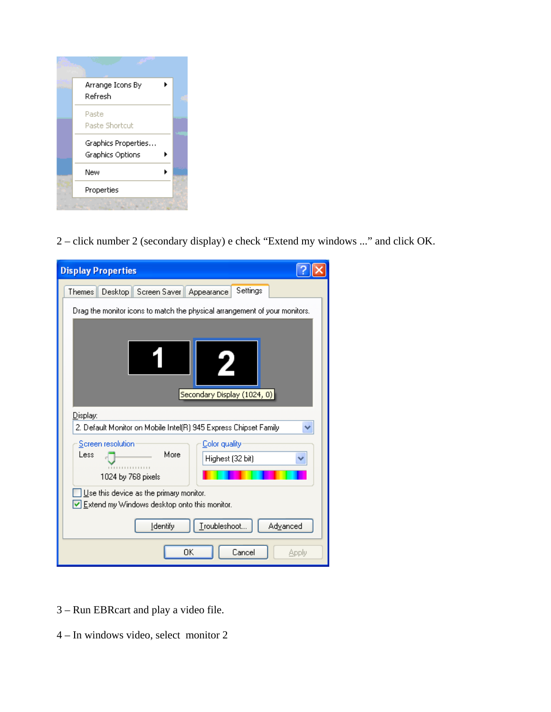

2 – click number 2 (secondary display) e check "Extend my windows ..." and click OK.

| <b>Display Properties</b>                                                                      |
|------------------------------------------------------------------------------------------------|
| Settings<br>Desktop Screen Saver Appearance<br><b>Themes</b>                                   |
| Drag the monitor icons to match the physical arrangement of your monitors.                     |
|                                                                                                |
| Secondary Display (1024, 0)                                                                    |
| Display:                                                                                       |
| 2. Default Monitor on Mobile Intel(R) 945 Express Chipset Family                               |
| Screen resolution<br>Color quality                                                             |
| More<br>Less<br>Highest (32 bit)                                                               |
| 1024 by 768 pixels                                                                             |
| Use this device as the primary monitor.<br>$\vee$ Extend my Windows desktop onto this monitor. |
| Troubleshoot<br><b>Identify</b><br>Advanced                                                    |
| OK<br>Cancel<br>Apply                                                                          |

- 3 Run EBRcart and play a video file.
- 4 In windows video, select monitor 2